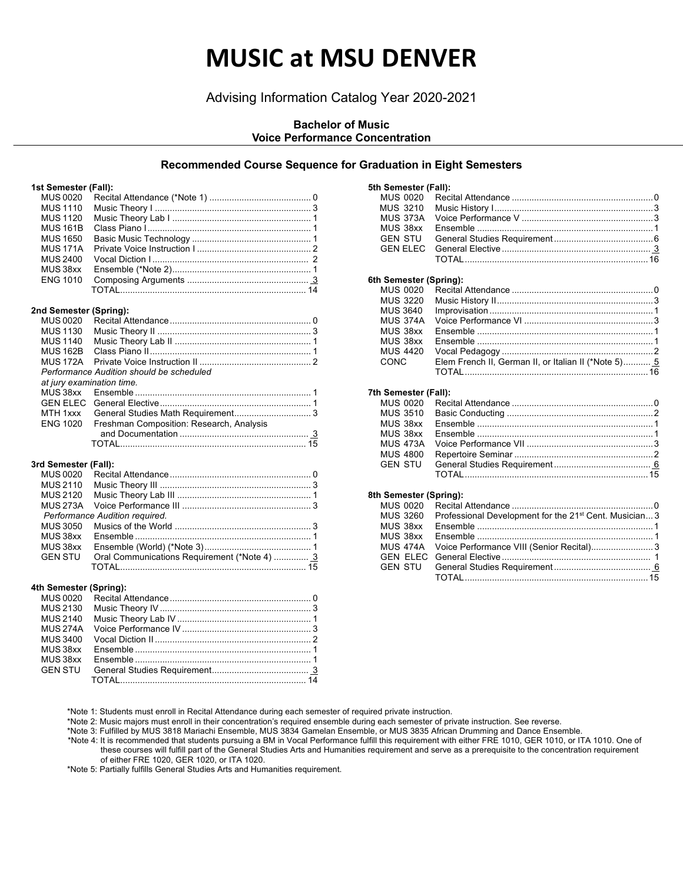## **MUSIC at MSU DENVER**

## Advising Information Catalog Year 2020-2021

## **Bachelor of Music Voice Performance Concentration**

## **Recommended Course Sequence for Graduation in Eight Semesters**

#### **1st Semester (Fall):**

| <b>MUS 0020</b>           |                                              |
|---------------------------|----------------------------------------------|
| <b>MUS 1110</b>           |                                              |
| <b>MUS 1120</b>           |                                              |
| <b>MUS 161B</b>           |                                              |
| <b>MUS 1650</b>           |                                              |
| <b>MUS171A</b>            |                                              |
| <b>MUS 2400</b>           |                                              |
| MUS38xx                   |                                              |
| <b>ENG 1010</b>           |                                              |
|                           |                                              |
|                           |                                              |
|                           |                                              |
| 2nd Semester (Spring):    |                                              |
| <b>MUS 0020</b>           |                                              |
| <b>MUS 1130</b>           |                                              |
| <b>MUS 1140</b>           |                                              |
| <b>MUS 162B</b>           |                                              |
| <b>MUS 172A</b>           |                                              |
|                           | Performance Audition should be scheduled     |
| at jury examination time. |                                              |
| MUS38xx                   |                                              |
| <b>GEN ELEC</b>           |                                              |
| MTH 1xxx                  |                                              |
| <b>ENG 1020</b>           | Freshman Composition: Research, Analysis     |
|                           |                                              |
|                           |                                              |
|                           |                                              |
|                           |                                              |
| 3rd Semester (Fall):      |                                              |
| <b>MUS 0020</b>           |                                              |
| <b>MUS 2110</b>           |                                              |
| <b>MUS 2120</b>           |                                              |
| <b>MUS 273A</b>           |                                              |
|                           | Performance Audition required.               |
| <b>MUS 3050</b>           |                                              |
| MUS38xx                   |                                              |
| MUS38xx                   |                                              |
| <b>GEN STU</b>            | Oral Communications Requirement (*Note 4)  3 |
|                           |                                              |
|                           |                                              |
| 4th Semester (Spring):    |                                              |
| <b>MUS 0020</b>           |                                              |
| <b>MUS 2130</b>           |                                              |
| <b>MUS 2140</b>           |                                              |
| <b>MUS 274A</b>           |                                              |
| <b>MUS 3400</b>           |                                              |
|                           |                                              |
| MUS38xx<br>MUS38xx        |                                              |
|                           |                                              |

| 5th Semester (Fall):   |                                                      |  |
|------------------------|------------------------------------------------------|--|
| <b>MUS 0020</b>        |                                                      |  |
| <b>MUS 3210</b>        |                                                      |  |
| MUS 373A               |                                                      |  |
| MUS 38xx               |                                                      |  |
| <b>GEN STU</b>         |                                                      |  |
| <b>GEN FLEC</b>        |                                                      |  |
|                        |                                                      |  |
| 6th Semester (Spring): |                                                      |  |
| <b>MUS 0020</b>        |                                                      |  |
| <b>MUS 3220</b>        |                                                      |  |
| <b>MUS 3640</b>        |                                                      |  |
| <b>MUS 374A</b>        |                                                      |  |
| MUS 38xx               |                                                      |  |
| MUS 38xx               |                                                      |  |
| <b>MUS 4420</b>        |                                                      |  |
| CONC                   | Elem French II, German II, or Italian II (*Note 5) 5 |  |
|                        |                                                      |  |
| 7th Semester (Fall):   |                                                      |  |
| <b>MUS 0020</b>        |                                                      |  |
| <b>MUS 3510</b>        |                                                      |  |
| MUS 38xx               |                                                      |  |
| MUS 38xx               |                                                      |  |
| <b>MUS 473A</b>        |                                                      |  |
| <b>MUS 4800</b>        |                                                      |  |

#### **8th Semester (Spring):**

| MUS 3260 Professional Development for the 21 <sup>st</sup> Cent. Musician 3 |  |
|-----------------------------------------------------------------------------|--|
|                                                                             |  |
|                                                                             |  |
| MUS 474A Voice Performance VIII (Senior Recital)3                           |  |
|                                                                             |  |
|                                                                             |  |
|                                                                             |  |
|                                                                             |  |

GEN STU General Studies Requirement ....................................... 6

MUS 4800 Repertoire Seminar ........................................................2

TOTAL..........................................................................15

\*Note 1: Students must enroll in Recital Attendance during each semester of required private instruction.

\*Note 2: Music majors must enroll in their concentration's required ensemble during each semester of private instruction. See reverse.

\*Note 3: Fulfilled by MUS 3818 Mariachi Ensemble, MUS 3834 Gamelan Ensemble, or MUS 3835 African Drumming and Dance Ensemble.

\*Note 4: It is recommended that students pursuing a BM in Vocal Performance fulfill this requirement with either FRE 1010, GER 1010, or ITA 1010. One of these courses will fulfill part of the General Studies Arts and Humanities requirement and serve as a prerequisite to the concentration requirement of either FRE 1020, GER 1020, or ITA 1020.

\*Note 5: Partially fulfills General Studies Arts and Humanities requirement.

TOTAL........................................................................... 14

GEN STU General Studies Requirement....................................... 3